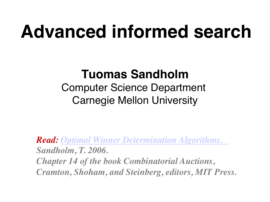# **Advanced informed search**

#### **Tuomas Sandholm**

Computer Science Department Carnegie Mellon University

*Read: Optimal Winner Determination Algorithms. Sandholm, T. 2006. Chapter 14 of the book Combinatorial Auctions, Cramton, Shoham, and Steinberg, editors, MIT Press.*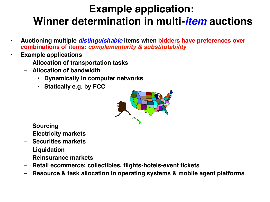#### **Example application: Winner determination in multi-***item* **auctions**

- **Auctioning multiple** *distinguishable* **items when bidders have preferences over combinations of items:** *complementarity & substitutability*
- **Example applications**
	- **Allocation of transportation tasks**
	- **Allocation of bandwidth**
		- **Dynamically in computer networks**
		- **Statically e.g. by FCC**



- **Sourcing**
- **Electricity markets**
- **Securities markets**
- **Liquidation**
- **Reinsurance markets**
- **Retail ecommerce: collectibles, flights-hotels-event tickets**
- **Resource & task allocation in operating systems & mobile agent platforms**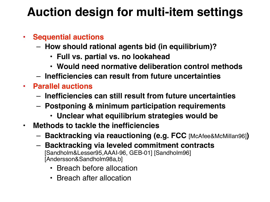#### **Auction design for multi-item settings**

#### • **Sequential auctions**

- **How should rational agents bid (in equilibrium)?**
	- **Full vs. partial vs. no lookahead**
	- **Would need normative deliberation control methods**
- **Inefficiencies can result from future uncertainties**
- **Parallel auctions**
	- **Inefficiencies can still result from future uncertainties**
	- **Postponing & minimum participation requirements**
		- **Unclear what equilibrium strategies would be**
- **Methods to tackle the inefficiencies**
	- **Backtracking via reauctioning (e.g. FCC** [McAfee&McMillan96]**)**
	- **Backtracking via leveled commitment contracts**  [Sandholm&Lesser95,AAAI-96, GEB-01] [Sandholm96] [Andersson&Sandholm98a,b]
		- Breach before allocation
		- Breach after allocation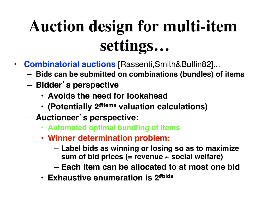# **Auction design for multi-item settings…**

- **Combinatorial auctions** [Rassenti,Smith&Bulfin82]...
	- **Bids can be submitted on combinations (bundles) of items**
	- **Bidder**'**s perspective**
		- **Avoids the need for lookahead**
		- **(Potentially 2#items valuation calculations)**
	- **Auctioneer**'**s perspective:** 
		- **Automated optimal bundling of items**
		- **Winner determination problem:** 
			- **Label bids as winning or losing so as to maximize sum of bid prices (= revenue** ≈ **social welfare)**
			- **Each item can be allocated to at most one bid**
		- **Exhaustive enumeration is 2#bids**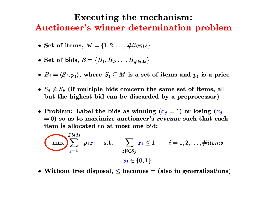#### **Executing the mechanism:** Auctioneer's winner determination problem

- Set of items,  $M = \{1, 2, ..., \#items\}$
- Set of bids,  $B = \{B_1, B_2, \ldots, B_{\# bids}\}\$
- $B_j = \langle S_j, p_j \rangle$ , where  $S_j \subseteq M$  is a set of items and  $p_j$  is a price
- $S_j \neq S_k$  (if multiple bids concern the same set of items, all but the highest bid can be discarded by a preprocessor)
- Problem: Label the bids as winning  $(x_j = 1)$  or losing  $(x_j$  $= 0$ ) so as to maximize auctioneer's revenue such that each item is allocated to at most one bid:

$$
\sum_{j=1}^{\# bids} p_j x_j \quad \text{s.t.} \quad \sum_{j|i \in S_j} x_j \le 1 \quad i = 1, 2, \dots, \#items
$$
  

$$
x_j \in \{0, 1\}
$$

• Without free disposal,  $\leq$  becomes = (also in generalizations)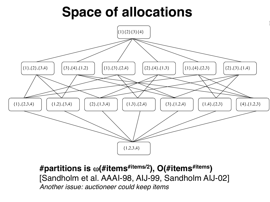## **Space of allocations**



**#partitions is** ω**(#items#items/2), O(#items#items)**  [Sandholm et al. AAAI-98, AIJ-99, Sandholm AIJ-02] *Another issue: auctioneer could keep items*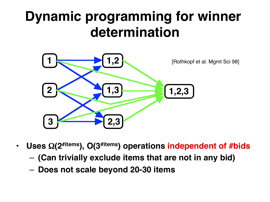## **Dynamic programming for winner determination**



- Uses  $\Omega(2^{#items})$ , O(3<sup>#items</sup>) operations independent of #bids
	- **(Can trivially exclude items that are not in any bid)**
	- **Does not scale beyond 20-30 items**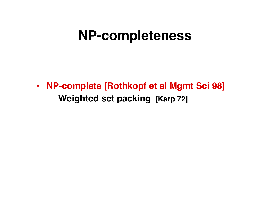### **NP-completeness**

• **NP-complete [Rothkopf et al Mgmt Sci 98]** – **Weighted set packing [Karp 72]**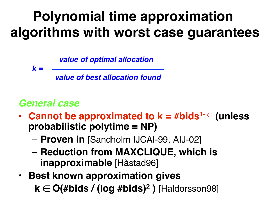# **Polynomial time approximation algorithms with worst case guarantees**

*value of optimal allocation*

*k =* 

 *value of best allocation found*

#### *General case*

- **Cannot be approximated to k = #bids1-** <sup>ε</sup>  **(unless probabilistic polytime = NP)**
	- **Proven in** [Sandholm IJCAI-99, AIJ-02]
	- **Reduction from MAXCLIQUE, which is inapproximable** [Håstad96]
- **Best known approximation gives k** ∈ **O(#bids / (log #bids)2 )** [Haldorsson98]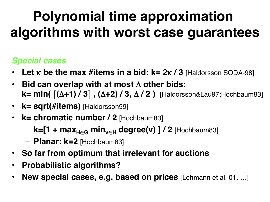# **Polynomial time approximation algorithms with worst case guarantees**

#### *Special cases*

- **Let** κ **be the max #items in a bid: k= 2**κ **/ 3** [Haldorsson SODA-98]
- **Bid can overlap with at most** Δ **other bids: k= min(** ⎡**(**Δ**+1) / 3**⎤ **, (**Δ**+2) / 3,** Δ **/ 2 )** [Haldorsson&Lau97;Hochbaum83]
- **k= sqrt(#items)** [Haldorsson99]
- **k= chromatic number / 2** [Hochbaum83]
	- $-$  **k=[1 + max**<sub>H∈G</sub> min<sub>v∈H</sub> degree(v) ] / 2 [Hochbaum83]
	- **Planar: k=2** [Hochbaum83]
- **So far from optimum that irrelevant for auctions**
- **Probabilistic algorithms?**
- **New special cases, e.g. based on prices** [Lehmann et al. 01, …]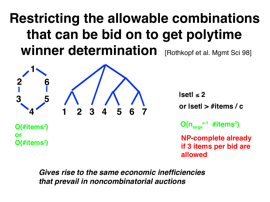## **Restricting the allowable combinations that can be bid on to get polytime**  Winner determination [Rothkopf et al. Mgmt Sci 98]



**O(#items2 )** 

**O(#items3 )**

**or** 

**|set|** ≤ **2 or |set| > #items / c O(nlarge c-1 #items3 )**

**NP-complete already if 3 items per bid are allowed**

*Gives rise to the same economic inefficiencies that prevail in noncombinatorial auctions*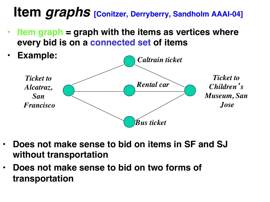## **Item** *graphs* **[Conitzer, Derryberry, Sandholm AAAI-04]**

• **Item graph = graph with the items as vertices where every bid is on a connected set of items**



- **Does not make sense to bid on items in SF and SJ without transportation**
- **Does not make sense to bid on two forms of transportation**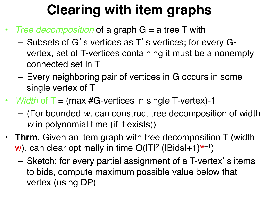# **Clearing with item graphs**

- *Tree decomposition* of a graph G = a tree T with
	- Subsets of G's vertices as T's vertices; for every Gvertex, set of T-vertices containing it must be a nonempty connected set in T
	- Every neighboring pair of vertices in G occurs in some single vertex of T
- *Width* of **T** = (max #G-vertices in single T-vertex)-1
	- (For bounded *w*, can construct tree decomposition of width *w* in polynomial time (if it exists))
- **Thrm.** Given an item graph with tree decomposition T (width w), can clear optimally in time  $O(|T|^2 (|Bids|+1)^{w+1})$ 
	- Sketch: for every partial assignment of a T-vertex's items to bids, compute maximum possible value below that vertex (using DP)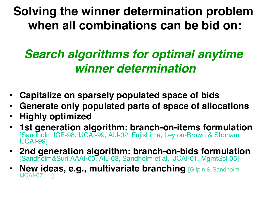### **Solving the winner determination problem when all combinations can be bid on:**

### *Search algorithms for optimal anytime winner determination*

- **Capitalize on sparsely populated space of bids**
- **Generate only populated parts of space of allocations**
- **Highly optimized**
- **1st generation algorithm: branch-on-items formulation**  [Sandholm ICE-98, IJCAI-99, AIJ-02; Fujishima, Leyton-Brown & Shoham IJCAI-99]
- **2nd generation algorithm: branch-on-bids formulation**  [Sandholm&Suri AAAI-00, AIJ-03, Sandholm et al. IJCAI-01, MgmtSci-05]
- **New ideas, e.g., multivariate branching** [Gilpin & Sandholm IJCAI-07, …]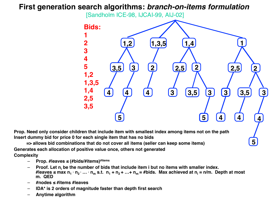#### **First generation search algorithms:** *branch-on-items formulation*

[Sandholm ICE-98, IJCAI-99, AIJ-02]



**5**

**Prop. Need only consider children that include item with smallest index among items not on the path Insert dummy bid for price 0 for each single item that has no bids** 

 **=> allows bid combinations that do not cover all items (seller can keep some items) Generates each allocation of positive value once, others not generated**

**Complexity**

- **Prop. #leaves ≤ (#bids/#items)#items**
- **Proof.** Let  $n_i$  be the number of bids that include item i but no items with smaller index. **#leaves ≤ max n1** ∙ **n2** ∙ **…** ∙ **nm s.t. n1 + n2 + …+ nm = #bids. Max achieved at ni = n/m. Depth at most m. QED**
- **#nodes ≤ #items #leaves**
- **IDA\* is 2 orders of magnitude faster than depth first search**
- **Anytime algorithm**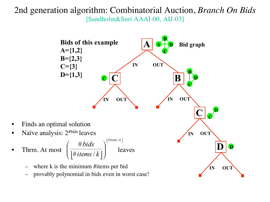#### 2nd generation algorithm: Combinatorial Auction, *Branch On Bids* [Sandholm&Suri AAAI-00, AIJ-03]

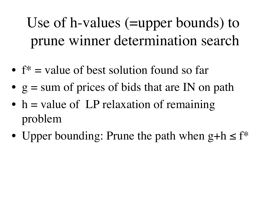Use of h-values (=upper bounds) to prune winner determination search

- $f^*$  = value of best solution found so far
- $g = sum$  of prices of bids that are IN on path
- $h =$  value of LP relaxation of remaining problem
- Upper bounding: Prune the path when  $g+h \leq f^*$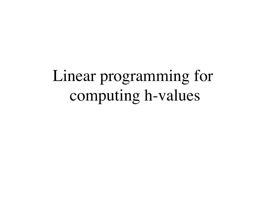# Linear programming for computing h-values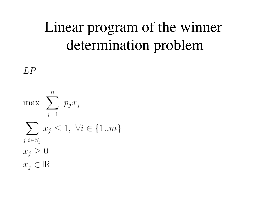# Linear program of the winner determination problem

 $LP$ 

 $\, n \,$ max  $\sum p_j x_j$  $j=1$  $\sum x_j \leq 1, \ \forall i \in \{1..m\}$  $j|i \in S_j$  $x_j \geq 0$  $x_i \in \mathbb{R}$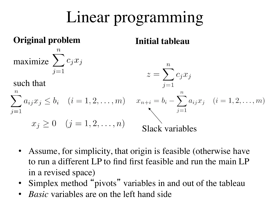# Linear programming

# **Original problem Initial tableau** maximize  $\sum_{j=1} c_j x_j$  $z=\sum^nc_jx_j$ such that  $\sum_{j=1} a_{ij} x_j \le b_i$   $(i = 1, 2, ..., m)$   $x_{n+i} = b_i - \sum_{j=1}^n a_{ij} x_j$   $(i = 1, 2, ..., m)$ <br> $x_j \ge 0$   $(j = 1, 2, ..., n)$  Slack variables

- Assume, for simplicity, that origin is feasible (otherwise have to run a different LP to find first feasible and run the main LP in a revised space)
- Simplex method "pivots" variables in and out of the tableau
- *Basic* variables are on the left hand side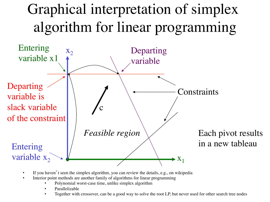# Graphical interpretation of simplex algorithm for linear programming



- If you haven't seen the simplex algorithm, you can review the details, e.g., on wikipedia
- Interior point methods are another family of algorithms for linear programming
	- Polynomial worst-case time, unlike simplex algorithm
	- Parallelizable
	- Together with crossover, can be a good way to solve the root LP, but never used for other search tree nodes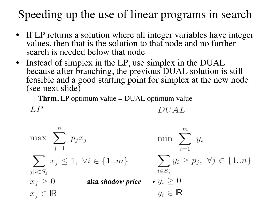### Speeding up the use of linear programs in search

- If LP returns a solution where all integer variables have integer values, then that is the solution to that node and no further search is needed below that node
- Instead of simplex in the LP, use simplex in the DUAL because after branching, the previous DUAL solution is still feasible and a good starting point for simplex at the new node (see next slide)
	- **Thrm.** LP optimum value = DUAL optimum value

$$
LP \hspace{2.6cm} DUAL
$$

$$
\max \sum_{j=1}^{n} p_j x_j \qquad \min \sum_{i=1}^{m} y_i
$$
\n
$$
\sum_{j|i \in S_j} x_j \le 1, \ \forall i \in \{1..m\} \qquad \sum_{i \in S_j} y_i \ge p_j, \ \forall j \in \{1..n\}
$$
\n
$$
x_j \ge 0 \qquad \text{aka shadow price} \longrightarrow y_i \ge 0
$$
\n
$$
x_j \in \mathbb{R} \qquad y_i \in \mathbb{R}
$$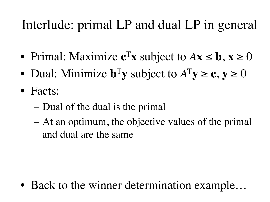## Interlude: primal LP and dual LP in general

- Primal: Maximize  $c^T x$  subject to  $Ax \leq b$ ,  $x \geq 0$
- Dual: Minimize  $\mathbf{b}^T\mathbf{y}$  subject to  $A^T\mathbf{y} \geq \mathbf{c}$ ,  $\mathbf{y} \geq 0$
- Facts:
	- Dual of the dual is the primal
	- At an optimum, the objective values of the primal and dual are the same

• Back to the winner determination example...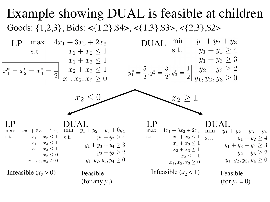#### Example showing DUAL is feasible at children Goods:  $\{1,2,3\}$ , Bids: < $\{1,2\}$ , \$4>, < $\{1,3\}$ , \$3>, < $\{2,3\}$ , \$2>

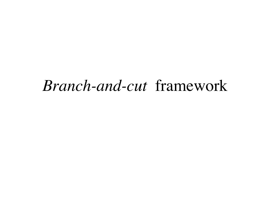## *Branch-and-cut* framework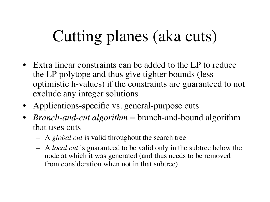# Cutting planes (aka cuts)

- Extra linear constraints can be added to the LP to reduce the LP polytope and thus give tighter bounds (less optimistic h-values) if the constraints are guaranteed to not exclude any integer solutions
- Applications-specific vs. general-purpose cuts
- *Branch-and-cut algorithm* = branch-and-bound algorithm that uses cuts
	- A *global cut* is valid throughout the search tree
	- A *local cut* is guaranteed to be valid only in the subtree below the node at which it was generated (and thus needs to be removed from consideration when not in that subtree)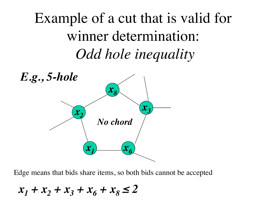Example of a cut that is valid for winner determination: *Odd hole inequality*



Edge means that bids share items, so both bids cannot be accepted

 $x_1 + x_2 + x_3 + x_6 + x_8 \leq 2$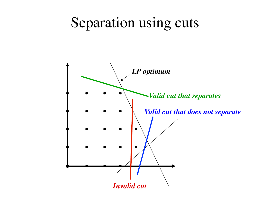### Separation using cuts

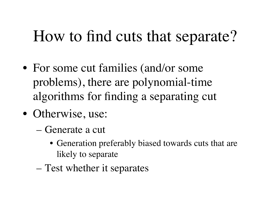# How to find cuts that separate?

- For some cut families (and/or some problems), there are polynomial-time algorithms for finding a separating cut
- Otherwise, use:
	- Generate a cut
		- Generation preferably biased towards cuts that are likely to separate
	- Test whether it separates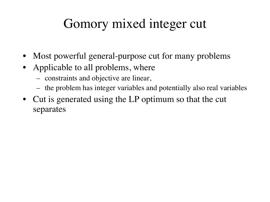### Gomory mixed integer cut

- Most powerful general-purpose cut for many problems
- Applicable to all problems, where
	- constraints and objective are linear,
	- the problem has integer variables and potentially also real variables
- Cut is generated using the LP optimum so that the cut separates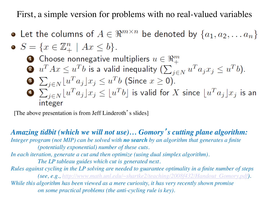First, a simple version for problems with no real-valued variables

• Let the columns of  $A \in \mathbb{R}^{m \times n}$  be denoted by  $\{a_1, a_2, \ldots a_n\}$  $C \left( \begin{array}{cc} -\pi n + 1 \end{array} \right)$ 

\n- $$
S = \{x \in \mathbb{Z}_+^{\times} \mid Ax \leq b\}
$$
.
\n- **Choose nonnegative multipliers**  $u \in \Re^n_+$
\n- **Q**  $u^T A x \leq u^T b$  is a valid inequality  $(\sum_{j \in N} u^T a_j x_j \leq u^T b)$ .
\n- **Q**  $\sum_{j \in N} [u^T a_j] x_j \leq u^T b$  (Since  $x \geq 0$ ).
\n- **Q**  $\sum_{j \in N} [u^T a_j] x_j \leq [u^T b]$  is valid for  $X$  since  $[u^T a_j] x_j$  is an integer
\n

[The above presentation is from Jeff Linderoth's slides]

*Amazing tidbit (which we will not use)… Gomory*'*s cutting plane algorithm: Integer program (not MIP) can be solved with no search by an algorithm that generates a finite (potentially exponential) number of these cuts. In each iteration, generate a cut and then optimize (using dual simplex algorithm). The LP tableau guides which cut is generated next. Rules against cycling in the LP solving are needed to guarantee optimality in a finite number of steps (see, e.g., http://www.math.unl.edu/~shartke2/teaching/2008f432/Handout\_Gomory.pdf). While this algorithm has been viewed as a mere curiosity, it has very recently shown promise on some practical problems (the anti-cycling rule is key).*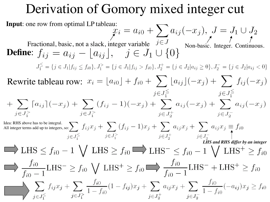#### Derivation of Gomory mixed integer cut

**Input:** one row from optimal LP tableau:  
\n
$$
x_i = a_{i0} + \sum_{j \in J} a_{ij}(-x_j), J = J_1 \cup J_2
$$
\nFractional, basic, not a slack, integer variable  $j \in J$   
\n**Define:**  $f_{ij} = a_{ij} - \lfloor a_{ij} \rfloor, j \in J_1 \cup \{0\}$   
\n $J_1^{\leq} = \{j \in J_1 | f_{ij} \leq f_{i0}\}, J_1^{\geq} = \{j \in J_1 | f_{ij} > f_{i0}\}, J_2^{\perp} = \{j \in J_2 | a_{ij} \geq 0\}, J_2^{\leq} = \{j \in J_2 | a_{ij} < 0\}$   
\nRewrite tableau row:  $x_i = \lfloor a_{i0} \rfloor + f_{i0} + \sum_{j \in J_1^{\leq}} \lfloor a_{ij} \rfloor (-x_j) + \sum_{j \in J_1^{\leq}} f_{ij}(-x_j)$   
\n $+ \sum_{j \in J_1^{\geq}} \lceil a_{ij} \rceil (-x_j) + \sum_{j \in J_1^{\geq}} (f_{ij} - 1)(-x_j) + \sum_{j \in J_2^{\leq}} a_{ij}(-x_j) + \sum_{j \in J_2^{\leq}} a_{ij}(-x_j)$   
\n $\text{All integer terms add up to integers, so:}$   
\n $f_{i0} = \sum_{j \in J_1^{\leq}}$   
\n $f_{i0} = 1 \bigvee \text{LHS} \geq f_{i0} \bigtriangleup \text{LHS} \geq f_{i0} \bigtriangleup \text{LHS} \geq f_{i0} - 1 \bigvee \text{LHS}^+ \geq f_{i0}$   
\n $f_{i0} = 1 \bigvee \text{LHS} \geq f_{i0} \bigvee \text{LHS}^+ \geq f_{i0} \bigtriangleup \frac{f_{i0}}{f_{i0} - 1} \text{LHS}^- + \text{LHS}^+ \geq f_{i0}$   
\n $f_{i0} = 1 \bigvee \sum_{j \in J_1^{\leq}} f_{jj}x_j + \sum_{j \in J_2^{\leq}} \frac{f_{i0}}{1 - f_{i0}} (1 - f_{ij})x_j + \$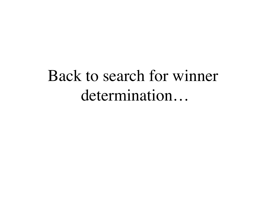# Back to search for winner determination…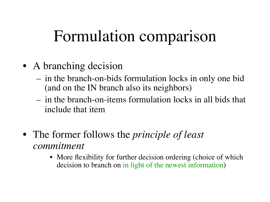# Formulation comparison

- A branching decision
	- in the branch-on-bids formulation locks in only one bid (and on the IN branch also its neighbors)
	- in the branch-on-items formulation locks in all bids that include that item
- The former follows the *principle of least commitment*
	- More flexibility for further decision ordering (choice of which decision to branch on in light of the newest information)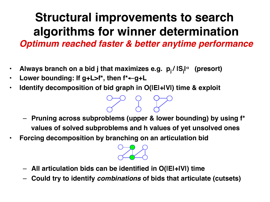# **Structural improvements to search algorithms for winner determination**

*Optimum reached faster & better anytime performance*

- **Always branch on a bid j that maximizes e.g. pj / |Sj |** <sup>α</sup> **(presort)**
- **Lower bounding: If g+L>f\*, then f\***←**g+L**
- **Identify decomposition of bid graph in O(|E|+|V|) time & exploit**

- **Pruning across subproblems (upper & lower bounding) by using f\* values of solved subproblems and h values of yet unsolved ones**
- **Forcing decomposition by branching on an articulation bid**



- **All articulation bids can be identified in O(|E|+|V|) time**
- **Could try to identify** *combinations* **of bids that articulate (cutsets)**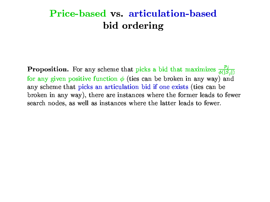#### Price-based vs. articulation-based bid ordering

**Proposition.** For any scheme that picks a bid that maximizes  $\frac{p_j}{\phi(|S_j|)}$ for any given positive function  $\phi$  (ties can be broken in any way) and any scheme that picks an articulation bid if one exists (ties can be broken in any way), there are instances where the former leads to fewer search nodes, as well as instances where the latter leads to fewer.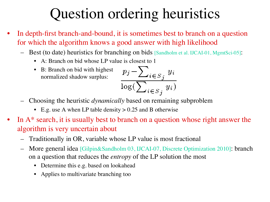# Question ordering heuristics

- In depth-first branch-and-bound, it is sometimes best to branch on a question for which the algorithm knows a good answer with high likelihood
	- Best (to date) heuristics for branching on bids [Sandholm et al. IJCAI-01, MgmtSci-05]:
		- A: Branch on bid whose LP value is closest to 1
		- B: Branch on bid with highest normalized shadow surplus:

$$
\frac{p_j - \sum_{i \in S_j} y_i}{\log(\sum_{i \in S_j} y_i)}
$$

- Choosing the heuristic *dynamically* based on remaining subproblem
	- E.g. use A when LP table density > 0.25 and B otherwise
- In  $A^*$  search, it is usually best to branch on a question whose right answer the algorithm is very uncertain about
	- Traditionally in OR, variable whose LP value is most fractional
	- More general idea [Gilpin&Sandholm 03, IJCAI-07, Discrete Optimization 2010]: branch on a question that reduces the *entropy* of the LP solution the most
		- Determine this e.g. based on lookahead
		- Applies to multivariate branching too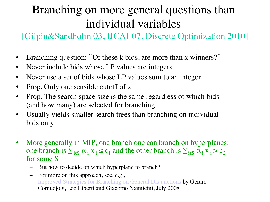### Branching on more general questions than individual variables

[Gilpin&Sandholm 03, IJCAI-07, Discrete Optimization 2010]

- Branching question: "Of these k bids, are more than x winners?"
- Never include bids whose LP values are integers
- Never use a set of bids whose LP values sum to an integer
- Prop. Only one sensible cutoff of x
- Prop. The search space size is the same regardless of which bids (and how many) are selected for branching
- Usually yields smaller search trees than branching on individual bids only
- More generally in MIP, one branch one can branch on hyperplanes: one branch is  $\sum_{i \in S} \alpha_i x_i \leq c_1$  and the other branch is  $\sum_{i \in S} \alpha_i x_i > c_2$ for some S
	- But how to decide on which hyperplane to branch?
	- For more on this approach, see, e.g., Improved Strategies for Branching on General Disjunctions by Gerard Cornuejols, Leo Liberti and Giacomo Nannicini, July 2008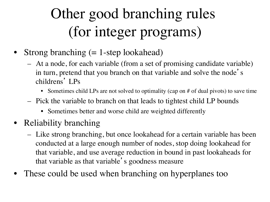# Other good branching rules (for integer programs)

- Strong branching  $(= 1$ -step lookahead)
	- At a node, for each variable (from a set of promising candidate variable) in turn, pretend that you branch on that variable and solve the node' s childrens' LPs
		- Sometimes child LPs are not solved to optimality (cap on # of dual pivots) to save time
	- Pick the variable to branch on that leads to tightest child LP bounds
		- Sometimes better and worse child are weighted differently
- Reliability branching
	- Like strong branching, but once lookahead for a certain variable has been conducted at a large enough number of nodes, stop doing lookahead for that variable, and use average reduction in bound in past lookaheads for that variable as that variable's goodness measure
- These could be used when branching on hyperplanes too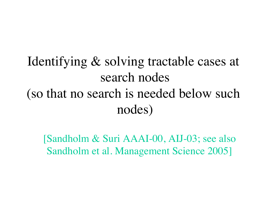Identifying & solving tractable cases at search nodes (so that no search is needed below such nodes)

[Sandholm & Suri AAAI-00, AIJ-03; see also Sandholm et al. Management Science 2005]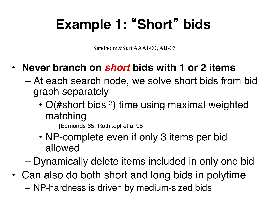# **Example 1:** "**Short**" **bids**

[Sandholm&Suri AAAI-00, AIJ-03]

- **Never branch on** *short* **bids with 1 or 2 items**
	- At each search node, we solve short bids from bid graph separately
		- $O(\#$ short bids <sup>3</sup>) time using maximal weighted matching
			- [Edmonds 65; Rothkopf et al 98]
		- NP-complete even if only 3 items per bid allowed

– Dynamically delete items included in only one bid

- Can also do both short and long bids in polytime
	- NP-hardness is driven by medium-sized bids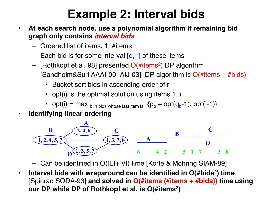### **Example 2: Interval bids**

- **At each search node, use a polynomial algorithm if remaining bid graph only contains** *interval bids*
	- Ordered list of items: 1..#items
	- Each bid is for some interval  $[q, r]$  of these items
	- [Rothkopf et al. 98] presented  $O(\#items^2)$  DP algorithm
	- $-$  [Sandholm&Suri AAAI-00, AIJ-03] DP algorithm is  $O(\#items + \# bids)$ 
		- Bucket sort bids in ascending order of r
		- opt(i) is the optimal solution using items 1..i
		- opt(i) = max  $_{\text{b} \text{ in bids whose last item is i}}$  { $p_{\text{b}}$  + opt( $q_{\text{b}}$ -1), opt(i-1)}
- **Identifying linear ordering**



– Can be identified in O(|E|+|V|) time [Korte & Mohring SIAM-89]

• **Interval bids with wraparound can be identified in O(#bids2) time**  [Spinrad SODA-93] **and solved in O(#items (#items + #bids)) time using our DP while DP of Rothkopf et al. is O(#items3)**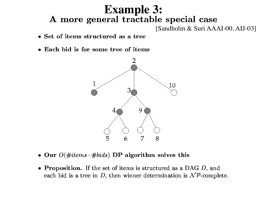# **Example 3:**<br>**A more general tractable special case**

[Sandholm & Suri AAAI-00, AIJ-03]

- Set of items structured as a tree
- Each bid is for some tree of items



- Our  $O(\text{\#items} \cdot \text{\# bids})$  DP algorithm solves this
- Proposition. If the set of items is structured as a DAG  $D$ , and each bid is a tree in  $D$ , then winner determination is  $\mathcal{NP}$ -complete.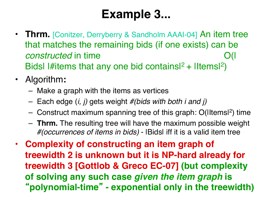### **Example 3...**

- **Thrm.** [Conitzer, Derryberry & Sandholm AAAI-04] An item tree that matches the remaining bids (if one exists) can be *constructed* in time "" " " O(I) Bidsl I#items that any one bid containsl<sup>2</sup> + IItemsl<sup>2</sup>)
- Algorithm**:**
	- Make a graph with the items as vertices
	- Each edge (*i, j)* gets weight *#(bids with both i and j)*
	- Construct maximum spanning tree of this graph: O(|Items|2) time
	- **Thrm.** The resulting tree will have the maximum possible weight *#(occurrences of items in bids)* - |Bids| iff it is a valid item tree
- **Complexity of constructing an item graph of treewidth 2 is unknown but it is NP-hard already for treewidth 3 [Gottlob & Greco EC-07] (but complexity of solving any such case** *given the item graph* **is**  "**polynomial-time**" **- exponential only in the treewidth)**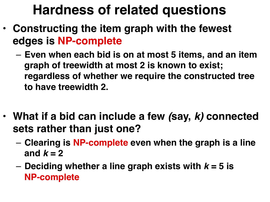## **Hardness of related questions**

- **Constructing the item graph with the fewest edges is NP-complete**
	- **Even when each bid is on at most 5 items, and an item graph of treewidth at most 2 is known to exist; regardless of whether we require the constructed tree to have treewidth 2.**
- **What if a bid can include a few** *(***say,** *k)* **connected sets rather than just one?**
	- **Clearing is NP-complete even when the graph is a line**  and  $k = 2$
	- **Deciding whether a line graph exists with** *k* **= 5 is NP-complete**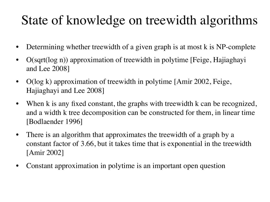## State of knowledge on treewidth algorithms

- Determining whether treewidth of a given graph is at most k is NP-complete
- O(sqrt(log n)) approximation of treewidth in polytime [Feige, Hajiaghayi and Lee 2008]
- O(log k) approximation of treewidth in polytime [Amir 2002, Feige, Hajiaghayi and Lee 2008]
- When k is any fixed constant, the graphs with treewidth k can be recognized, and a width k tree decomposition can be constructed for them, in linear time [Bodlaender 1996]
- There is an algorithm that approximates the treewidth of a graph by a constant factor of 3.66, but it takes time that is exponential in the treewidth [Amir 2002]
- Constant approximation in polytime is an important open question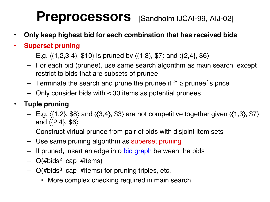### Preprocessors [Sandholm IJCAI-99, AIJ-02]

- **Only keep highest bid for each combination that has received bids**
- **Superset pruning**
	- E.g.  $\langle \{1,2,3,4\},\, \$10 \rangle$  is pruned by  $\langle \{1,3\},\, \$7 \rangle$  and  $\langle \{2,4\},\, \$6 \rangle$
	- For each bid (prunee), use same search algorithm as main search, except restrict to bids that are subsets of prunee
	- $-$  Terminate the search and prune the prunee if  $f^*$  ≥ prunee's price
	- $−$  Only consider bids with  $≤ 30$  items as potential prunees

#### • **Tuple pruning**

- E.g.  $\langle \{1,2\}, \, \$8 \rangle$  and  $\langle \{3,4\}, \, \$3 \rangle$  are not competitive together given  $\langle \{1,3\}, \, \$7 \rangle$ and  $\langle \{2,4\},\, \$6 \rangle$
- Construct virtual prunee from pair of bids with disjoint item sets
- Use same pruning algorithm as superset pruning
- If pruned, insert an edge into bid graph between the bids
- $-$  O(#bids<sup>2</sup> cap #items)
- $-$  O(#bids<sup>3</sup> cap #items) for pruning triples, etc.
	- More complex checking required in main search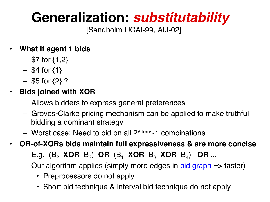## **Generalization:** *substitutability*

[Sandholm IJCAI-99, AIJ-02]

#### • **What if agent 1 bids**

- $-$  \$7 for  $\{1,2\}$
- $-$  \$4 for  $\{1\}$
- $-$  \$5 for  $\{2\}$  ?
- **Bids joined with XOR**
	- Allows bidders to express general preferences
	- Groves-Clarke pricing mechanism can be applied to make truthful bidding a dominant strategy
	- $-$  Worst case: Need to bid on all  $2^{# items}$ -1 combinations
- **OR-of-XORs bids maintain full expressiveness & are more concise**
	- E.g. (B2 **XOR** B3) **OR** (B1 **XOR** B3 **XOR** B4) **OR ...**
	- Our algorithm applies (simply more edges in bid graph => faster)
		- Preprocessors do not apply
		- Short bid technique & interval bid technique do not apply